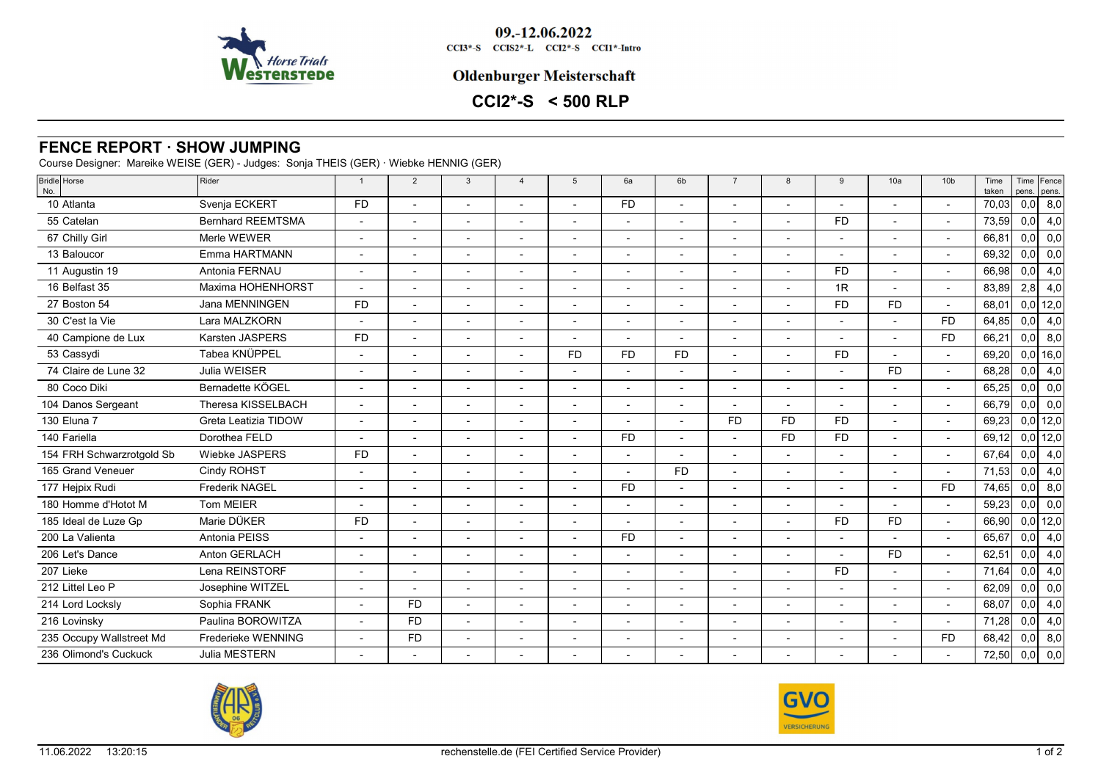

09.-12.06.2022 CCI3\*-S CCIS2\*-L CCI2\*-S CCI1\*-Intro

### **Oldenburger Meisterschaft**

# **CCI2\*-S < 500 RLP**

## **FENCE REPORT · SHOW JUMPING**

Course Designer: Mareike WEISE (GER) - Judges: Sonja THEIS (GER) · Wiebke HENNIG (GER)

| Bridle Horse<br>No.       | Rider                    | $\overline{1}$ | $\overline{2}$           | 3                        | $\overline{\mathbf{A}}$  | 5                        | 6a        | 6 <sub>b</sub>           | $\overline{7}$           | 8         | 9              | 10a                      | 10 <sub>b</sub>          | Time<br>taken | pens. | Time Fence<br>pens. |
|---------------------------|--------------------------|----------------|--------------------------|--------------------------|--------------------------|--------------------------|-----------|--------------------------|--------------------------|-----------|----------------|--------------------------|--------------------------|---------------|-------|---------------------|
| 10 Atlanta                | Svenja ECKERT            | <b>FD</b>      |                          | $\blacksquare$           | $\blacksquare$           | $\blacksquare$           | <b>FD</b> | $\overline{a}$           |                          |           |                |                          | $\blacksquare$           | 70,03         | 0,0   | 8,0                 |
| 55 Catelan                | <b>Bernhard REEMTSMA</b> |                |                          |                          |                          |                          |           |                          |                          |           | <b>FD</b>      |                          | $\overline{\phantom{a}}$ | 73,59         | 0,0   | 4,0                 |
| 67 Chilly Girl            | Merle WEWER              |                |                          |                          |                          | $\overline{\phantom{a}}$ |           |                          |                          |           |                |                          | $\blacksquare$           | 66,81         | 0,0   | 0,0                 |
| 13 Baloucor               | Emma HARTMANN            |                |                          |                          |                          |                          |           |                          |                          |           |                |                          | L,                       | 69,32         | 0,0   | 0,0                 |
| 11 Augustin 19            | Antonia FERNAU           |                | $\overline{\phantom{0}}$ | $\blacksquare$           |                          |                          |           | $\overline{\phantom{a}}$ |                          |           | <b>FD</b>      | $\overline{\phantom{a}}$ | $\blacksquare$           | 66,98         | 0,0   | 4,0                 |
| 16 Belfast 35             | Maxima HOHENHORST        |                |                          | $\blacksquare$           |                          |                          |           | $\overline{a}$           |                          |           | 1R             | $\overline{\phantom{a}}$ | $\blacksquare$           | 83,89         | 2,8   | 4,0                 |
| 27 Boston 54              | Jana MENNINGEN           | <b>FD</b>      |                          |                          |                          |                          |           |                          |                          |           | <b>FD</b>      | <b>FD</b>                | $\overline{\phantom{a}}$ | 68,01         |       | $0,0$ 12,0          |
| 30 C'est la Vie           | Lara MALZKORN            |                | $\overline{a}$           | $\overline{\phantom{a}}$ |                          |                          |           | $\overline{\phantom{a}}$ |                          |           |                |                          | <b>FD</b>                | 64,85         | 0,0   | 4,0                 |
| 40 Campione de Lux        | Karsten JASPERS          | <b>FD</b>      |                          |                          |                          |                          |           |                          |                          |           |                |                          | <b>FD</b>                | 66,21         | 0,0   | 8,0                 |
| 53 Cassydi                | Tabea KNÜPPEL            |                |                          |                          |                          | <b>FD</b>                | <b>FD</b> | <b>FD</b>                |                          |           | F <sub>D</sub> |                          | $\blacksquare$           | 69,20         |       | $0,0$ 16,0          |
| 74 Claire de Lune 32      | Julia WEISER             |                |                          |                          |                          |                          |           |                          |                          |           |                | <b>FD</b>                | $\overline{a}$           | 68,28         | 0,0   | 4,0                 |
| 80 Coco Diki              | Bernadette KÖGEL         |                |                          |                          | $\overline{\phantom{a}}$ | $\blacksquare$           |           |                          |                          |           | $\overline{a}$ |                          | $\blacksquare$           | 65,25         | 0,0   | 0,0                 |
| 104 Danos Sergeant        | Theresa KISSELBACH       |                |                          |                          |                          |                          |           |                          |                          |           |                |                          | $\overline{a}$           | 66,79         | 0,0   | 0,0                 |
| 130 Eluna 7               | Greta Leatizia TIDOW     |                |                          |                          | $\overline{\phantom{a}}$ | $\overline{\phantom{a}}$ |           |                          | <b>FD</b>                | <b>FD</b> | <b>FD</b>      | $\overline{\phantom{a}}$ | $\overline{\phantom{a}}$ | 69,23         |       | $0,0$ 12,0          |
| 140 Fariella              | Dorothea FELD            |                |                          |                          |                          |                          | <b>FD</b> |                          |                          | <b>FD</b> | <b>FD</b>      |                          | $\overline{a}$           | 69,12         |       | $0,0$ 12,0          |
| 154 FRH Schwarzrotgold Sb | Wiebke JASPERS           | <b>FD</b>      | $\overline{\phantom{a}}$ | $\overline{a}$           | $\overline{a}$           | $\overline{a}$           |           | $\overline{a}$           | $\sim$                   |           |                | $\overline{\phantom{a}}$ | $\blacksquare$           | 67,64         | 0,0   | 4,0                 |
| 165 Grand Veneuer         | Cindy ROHST              |                |                          |                          |                          |                          |           | <b>FD</b>                |                          |           |                |                          | $\overline{a}$           | 71,53         | 0,0   | 4,0                 |
| 177 Hejpix Rudi           | <b>Frederik NAGEL</b>    |                |                          |                          |                          |                          | <b>FD</b> | $\overline{\phantom{a}}$ |                          |           |                |                          | <b>FD</b>                | 74,65         | 0,0   | 8,0                 |
| 180 Homme d'Hotot M       | <b>Tom MEIER</b>         |                |                          | $\overline{\phantom{a}}$ |                          |                          |           | $\overline{\phantom{a}}$ | $\overline{\phantom{0}}$ |           |                |                          | $\blacksquare$           | 59,23         | 0,0   | 0,0                 |
| 185 Ideal de Luze Gp      | Marie DÜKER              | <b>FD</b>      |                          |                          | $\overline{a}$           |                          |           |                          |                          |           | <b>FD</b>      | <b>FD</b>                | $\blacksquare$           | 66,90         |       | $0,0$ 12,0          |
| 200 La Valienta           | Antonia PEISS            |                |                          |                          |                          |                          | <b>FD</b> | $\overline{a}$           |                          |           |                |                          | $\overline{a}$           | 65,67         | 0,0   | 4,0                 |
| 206 Let's Dance           | Anton GERLACH            |                |                          |                          |                          |                          |           |                          |                          |           |                | <b>FD</b>                | $\overline{a}$           | 62,51         | 0,0   | 4,0                 |
| 207 Lieke                 | Lena REINSTORF           |                |                          |                          |                          | $\overline{\phantom{0}}$ |           |                          |                          |           | <b>FD</b>      |                          | $\blacksquare$           | 71,64         | 0,0   | 4,0                 |
| 212 Littel Leo P          | Josephine WITZEL         |                |                          |                          |                          |                          |           |                          |                          |           |                |                          | $\overline{a}$           | 62,09         | 0,0   | 0,0                 |
| 214 Lord Locksly          | Sophia FRANK             |                | <b>FD</b>                | $\overline{a}$           | $\overline{\phantom{0}}$ | $\blacksquare$           |           |                          |                          |           |                | $\overline{\phantom{0}}$ | $\blacksquare$           | 68,07         | 0,0   | 4,0                 |
| 216 Lovinsky              | Paulina BOROWITZA        |                | <b>FD</b>                |                          |                          |                          |           |                          |                          |           |                |                          | $\blacksquare$           | 71,28         | 0,0   | 4,0                 |
| 235 Occupy Wallstreet Md  | Frederieke WENNING       |                | <b>FD</b>                | $\blacksquare$           | $\overline{\phantom{a}}$ | $\blacksquare$           |           | $\overline{\phantom{a}}$ | $\overline{\phantom{a}}$ |           | $\blacksquare$ | $\overline{\phantom{a}}$ | <b>FD</b>                | 68,42         | 0,0   | 8,0                 |
| 236 Olimond's Cuckuck     | Julia MESTERN            |                |                          |                          |                          |                          |           |                          |                          |           |                |                          |                          | 72,50         | 0,0   | 0,0                 |
|                           |                          |                |                          |                          |                          |                          |           |                          |                          |           |                |                          |                          |               |       |                     |